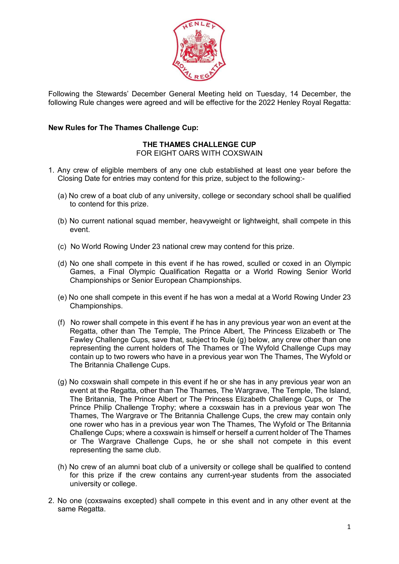

Following the Stewards' December General Meeting held on Tuesday, 14 December, the following Rule changes were agreed and will be effective for the 2022 Henley Royal Regatta:

## **New Rules for The Thames Challenge Cup:**

# **THE THAMES CHALLENGE CUP**

FOR EIGHT OARS WITH COXSWAIN

- 1. Any crew of eligible members of any one club established at least one year before the Closing Date for entries may contend for this prize, subject to the following:-
	- (a) No crew of a boat club of any university, college or secondary school shall be qualified to contend for this prize.
	- (b) No current national squad member, heavyweight or lightweight, shall compete in this event.
	- (c) No World Rowing Under 23 national crew may contend for this prize.
	- (d) No one shall compete in this event if he has rowed, sculled or coxed in an Olympic Games, a Final Olympic Qualification Regatta or a World Rowing Senior World Championships or Senior European Championships.
	- (e) No one shall compete in this event if he has won a medal at a World Rowing Under 23 Championships.
	- (f) No rower shall compete in this event if he has in any previous year won an event at the Regatta, other than The Temple, The Prince Albert, The Princess Elizabeth or The Fawley Challenge Cups, save that, subject to Rule (g) below, any crew other than one representing the current holders of The Thames or The Wyfold Challenge Cups may contain up to two rowers who have in a previous year won The Thames, The Wyfold or The Britannia Challenge Cups.
	- (g) No coxswain shall compete in this event if he or she has in any previous year won an event at the Regatta, other than The Thames, The Wargrave, The Temple, The Island, The Britannia, The Prince Albert or The Princess Elizabeth Challenge Cups, or The Prince Philip Challenge Trophy; where a coxswain has in a previous year won The Thames, The Wargrave or The Britannia Challenge Cups, the crew may contain only one rower who has in a previous year won The Thames, The Wyfold or The Britannia Challenge Cups; where a coxswain is himself or herself a current holder of The Thames or The Wargrave Challenge Cups, he or she shall not compete in this event representing the same club.
	- (h) No crew of an alumni boat club of a university or college shall be qualified to contend for this prize if the crew contains any current-year students from the associated university or college.
- 2. No one (coxswains excepted) shall compete in this event and in any other event at the same Regatta.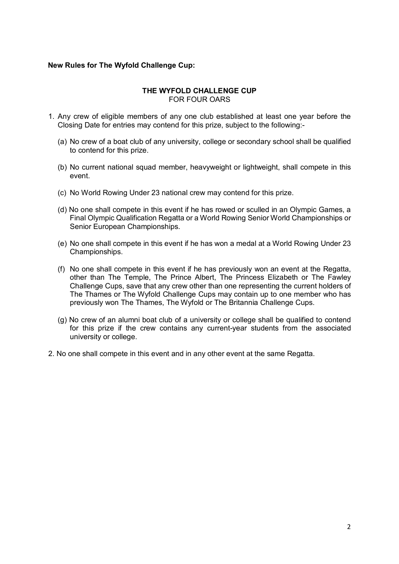## **New Rules for The Wyfold Challenge Cup:**

#### **THE WYFOLD CHALLENGE CUP**  FOR FOUR OARS

- 1. Any crew of eligible members of any one club established at least one year before the Closing Date for entries may contend for this prize, subject to the following:-
	- (a) No crew of a boat club of any university, college or secondary school shall be qualified to contend for this prize.
	- (b) No current national squad member, heavyweight or lightweight, shall compete in this event.
	- (c) No World Rowing Under 23 national crew may contend for this prize.
	- (d) No one shall compete in this event if he has rowed or sculled in an Olympic Games, a Final Olympic Qualification Regatta or a World Rowing Senior World Championships or Senior European Championships.
	- (e) No one shall compete in this event if he has won a medal at a World Rowing Under 23 Championships.
	- (f) No one shall compete in this event if he has previously won an event at the Regatta, other than The Temple, The Prince Albert, The Princess Elizabeth or The Fawley Challenge Cups, save that any crew other than one representing the current holders of The Thames or The Wyfold Challenge Cups may contain up to one member who has previously won The Thames, The Wyfold or The Britannia Challenge Cups.
	- (g) No crew of an alumni boat club of a university or college shall be qualified to contend for this prize if the crew contains any current-year students from the associated university or college.
- 2. No one shall compete in this event and in any other event at the same Regatta.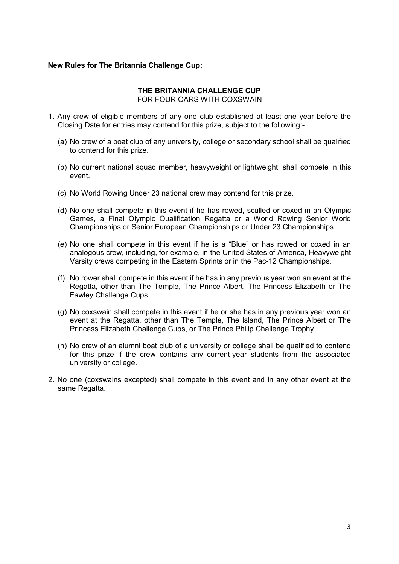#### **New Rules for The Britannia Challenge Cup:**

#### **THE BRITANNIA CHALLENGE CUP** FOR FOUR OARS WITH COXSWAIN

- 1. Any crew of eligible members of any one club established at least one year before the Closing Date for entries may contend for this prize, subject to the following:-
	- (a) No crew of a boat club of any university, college or secondary school shall be qualified to contend for this prize.
	- (b) No current national squad member, heavyweight or lightweight, shall compete in this event.
	- (c) No World Rowing Under 23 national crew may contend for this prize.
	- (d) No one shall compete in this event if he has rowed, sculled or coxed in an Olympic Games, a Final Olympic Qualification Regatta or a World Rowing Senior World Championships or Senior European Championships or Under 23 Championships.
	- (e) No one shall compete in this event if he is a "Blue" or has rowed or coxed in an analogous crew, including, for example, in the United States of America, Heavyweight Varsity crews competing in the Eastern Sprints or in the Pac-12 Championships.
	- (f) No rower shall compete in this event if he has in any previous year won an event at the Regatta, other than The Temple, The Prince Albert, The Princess Elizabeth or The Fawley Challenge Cups.
	- (g) No coxswain shall compete in this event if he or she has in any previous year won an event at the Regatta, other than The Temple, The Island, The Prince Albert or The Princess Elizabeth Challenge Cups, or The Prince Philip Challenge Trophy.
	- (h) No crew of an alumni boat club of a university or college shall be qualified to contend for this prize if the crew contains any current-year students from the associated university or college.
- 2. No one (coxswains excepted) shall compete in this event and in any other event at the same Regatta.